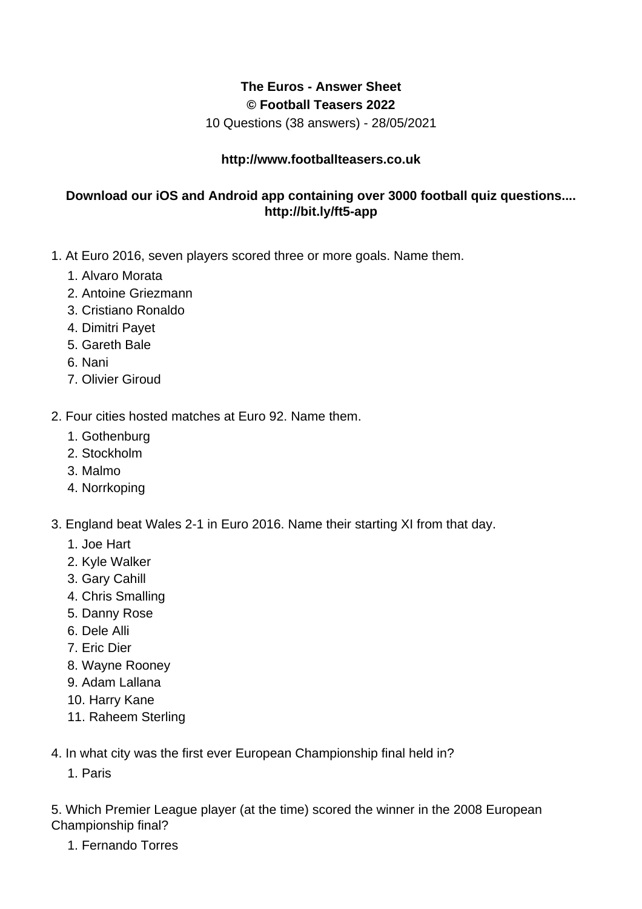## **The Euros - Answer Sheet © Football Teasers 2022**

10 Questions (38 answers) - 28/05/2021

## **http://www.footballteasers.co.uk**

## **Download our iOS and Android app containing over 3000 football quiz questions.... http://bit.ly/ft5-app**

- 1. At Euro 2016, seven players scored three or more goals. Name them.
	- 1. Alvaro Morata
	- 2. Antoine Griezmann
	- 3. Cristiano Ronaldo
	- 4. Dimitri Payet
	- 5. Gareth Bale
	- 6. Nani
	- 7. Olivier Giroud

2. Four cities hosted matches at Euro 92. Name them.

- 1. Gothenburg
- 2. Stockholm
- 3. Malmo
- 4. Norrkoping
- 3. England beat Wales 2-1 in Euro 2016. Name their starting XI from that day.
	- 1. Joe Hart
	- 2. Kyle Walker
	- 3. Gary Cahill
	- 4. Chris Smalling
	- 5. Danny Rose
	- 6. Dele Alli
	- 7. Eric Dier
	- 8. Wayne Rooney
	- 9. Adam Lallana
	- 10. Harry Kane
	- 11. Raheem Sterling

4. In what city was the first ever European Championship final held in?

1. Paris

5. Which Premier League player (at the time) scored the winner in the 2008 European Championship final?

1. Fernando Torres